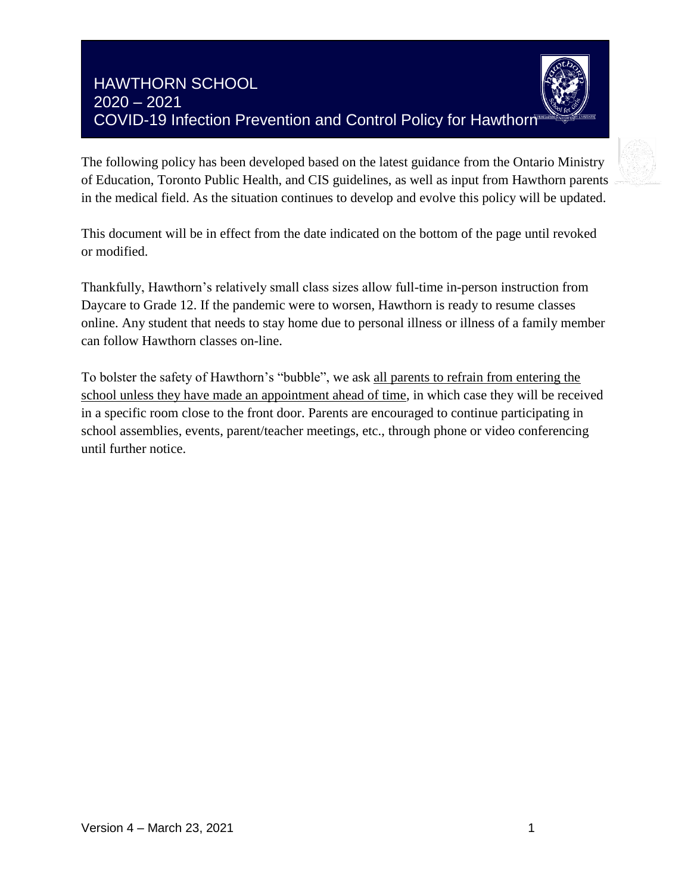# HAWTHORN SCHOOL 2020 – 2021 COVID-19 Infection Prevention and Control Policy for Hawthorn



The following policy has been developed based on the latest guidance from the Ontario Ministry of Education, Toronto Public Health, and CIS guidelines, as well as input from Hawthorn parents in the medical field. As the situation continues to develop and evolve this policy will be updated.

This document will be in effect from the date indicated on the bottom of the page until revoked or modified.

Thankfully, Hawthorn's relatively small class sizes allow full-time in-person instruction from Daycare to Grade 12. If the pandemic were to worsen, Hawthorn is ready to resume classes online. Any student that needs to stay home due to personal illness or illness of a family member can follow Hawthorn classes on-line.

To bolster the safety of Hawthorn's "bubble", we ask all parents to refrain from entering the school unless they have made an appointment ahead of time, in which case they will be received in a specific room close to the front door. Parents are encouraged to continue participating in school assemblies, events, parent/teacher meetings, etc., through phone or video conferencing until further notice.

Parents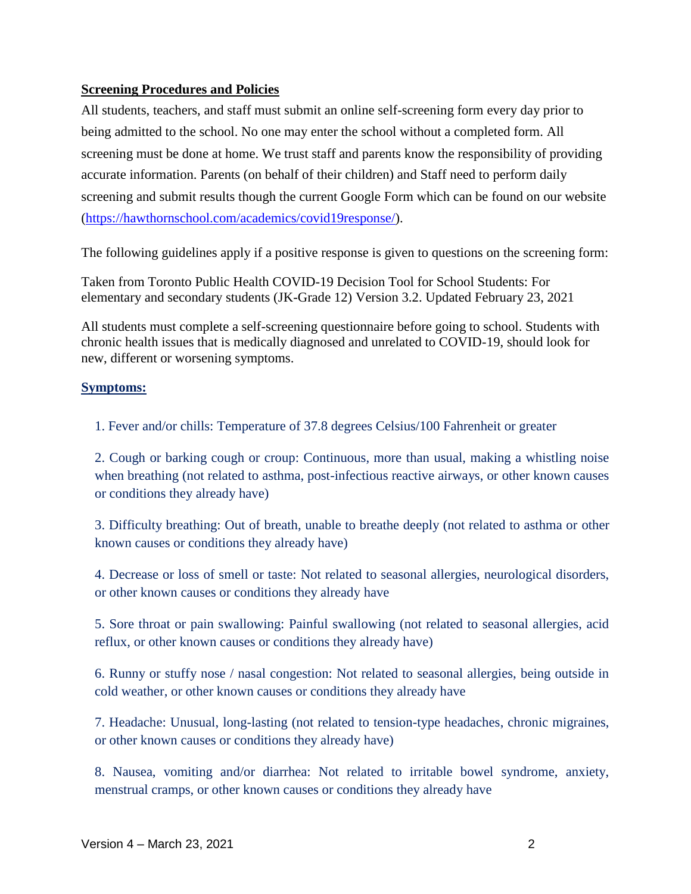## **Screening Procedures and Policies**

All students, teachers, and staff must submit an online self-screening form every day prior to being admitted to the school. No one may enter the school without a completed form. All screening must be done at home. We trust staff and parents know the responsibility of providing accurate information. Parents (on behalf of their children) and Staff need to perform daily screening and submit results though the current Google Form which can be found on our website [\(https://hawthornschool.com/academics/covid19response/\)](https://hawthornschool.com/academics/covid19response/)[.](https://docs.google.com/forms/d/1egfnOtvpYPj9F8C7Q_JAxZTMR5pLxViYUZxExiZaoB8/edit)

The following guidelines apply if a positive response is given to questions on the screening form:

Taken from Toronto Public Health COVID-19 Decision Tool for School Students: For elementary and secondary students (JK-Grade 12) Version 3.2. Updated February 23, 2021

All students must complete a self-screening questionnaire before going to school. Students with chronic health issues that is medically diagnosed and unrelated to COVID-19, should look for new, different or worsening symptoms.

## **Symptoms:**

1. Fever and/or chills: Temperature of 37.8 degrees Celsius/100 Fahrenheit or greater

2. Cough or barking cough or croup: Continuous, more than usual, making a whistling noise when breathing (not related to asthma, post-infectious reactive airways, or other known causes or conditions they already have)

3. Difficulty breathing: Out of breath, unable to breathe deeply (not related to asthma or other known causes or conditions they already have)

4. Decrease or loss of smell or taste: Not related to seasonal allergies, neurological disorders, or other known causes or conditions they already have

5. Sore throat or pain swallowing: Painful swallowing (not related to seasonal allergies, acid reflux, or other known causes or conditions they already have)

6. Runny or stuffy nose / nasal congestion: Not related to seasonal allergies, being outside in cold weather, or other known causes or conditions they already have

7. Headache: Unusual, long-lasting (not related to tension-type headaches, chronic migraines, or other known causes or conditions they already have)

8. Nausea, vomiting and/or diarrhea: Not related to irritable bowel syndrome, anxiety, menstrual cramps, or other known causes or conditions they already have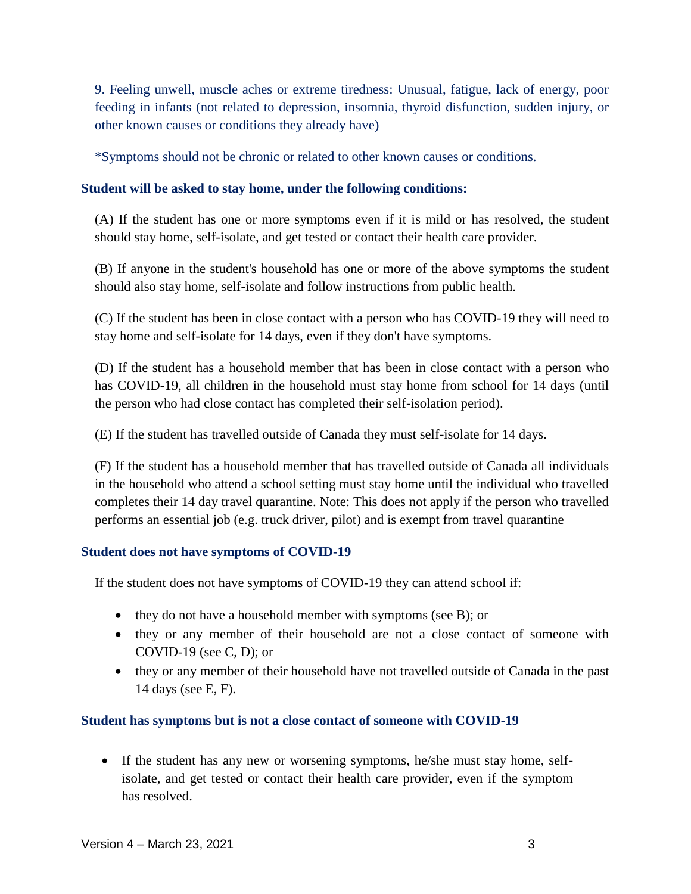9. Feeling unwell, muscle aches or extreme tiredness: Unusual, fatigue, lack of energy, poor feeding in infants (not related to depression, insomnia, thyroid disfunction, sudden injury, or other known causes or conditions they already have)

\*Symptoms should not be chronic or related to other known causes or conditions.

#### **Student will be asked to stay home, under the following conditions:**

(A) If the student has one or more symptoms even if it is mild or has resolved, the student should stay home, self-isolate, and get tested or contact their health care provider.

(B) If anyone in the student's household has one or more of the above symptoms the student should also stay home, self-isolate and follow instructions from public health.

(C) If the student has been in close contact with a person who has COVID-19 they will need to stay home and self-isolate for 14 days, even if they don't have symptoms.

(D) If the student has a household member that has been in close contact with a person who has COVID-19, all children in the household must stay home from school for 14 days (until the person who had close contact has completed their self-isolation period).

(E) If the student has travelled outside of Canada they must self-isolate for 14 days.

(F) If the student has a household member that has travelled outside of Canada all individuals in the household who attend a school setting must stay home until the individual who travelled completes their 14 day travel quarantine. Note: This does not apply if the person who travelled performs an essential job (e.g. truck driver, pilot) and is exempt from travel quarantine

## **Student does not have symptoms of COVID-19**

If the student does not have symptoms of COVID-19 they can attend school if:

- they do not have a household member with symptoms (see B); or
- they or any member of their household are not a close contact of someone with COVID-19 (see C, D); or
- they or any member of their household have not travelled outside of Canada in the past 14 days (see E, F).

#### **Student has symptoms but is not a close contact of someone with COVID-19**

 If the student has any new or worsening symptoms, he/she must stay home, selfisolate, and get tested or contact their health care provider, even if the symptom has resolved.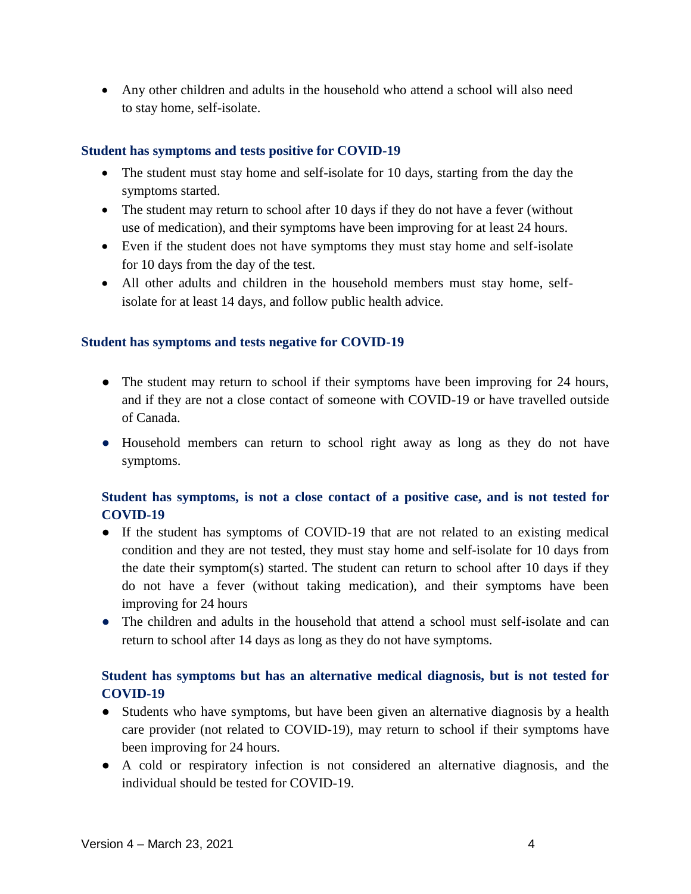Any other children and adults in the household who attend a school will also need to stay home, self-isolate.

#### **Student has symptoms and tests positive for COVID-19**

- The student must stay home and self-isolate for 10 days, starting from the day the symptoms started.
- The student may return to school after 10 days if they do not have a fever (without use of medication), and their symptoms have been improving for at least 24 hours.
- Even if the student does not have symptoms they must stay home and self-isolate for 10 days from the day of the test.
- All other adults and children in the household members must stay home, selfisolate for at least 14 days, and follow public health advice.

#### **Student has symptoms and tests negative for COVID-19**

- The student may return to school if their symptoms have been improving for 24 hours, and if they are not a close contact of someone with COVID-19 or have travelled outside of Canada.
- Household members can return to school right away as long as they do not have symptoms.

## **Student has symptoms, is not a close contact of a positive case, and is not tested for COVID-19**

- If the student has symptoms of COVID-19 that are not related to an existing medical condition and they are not tested, they must stay home and self-isolate for 10 days from the date their symptom(s) started. The student can return to school after 10 days if they do not have a fever (without taking medication), and their symptoms have been improving for 24 hours
- The children and adults in the household that attend a school must self-isolate and can return to school after 14 days as long as they do not have symptoms.

# **Student has symptoms but has an alternative medical diagnosis, but is not tested for COVID-19**

- Students who have symptoms, but have been given an alternative diagnosis by a health care provider (not related to COVID-19), may return to school if their symptoms have been improving for 24 hours.
- A cold or respiratory infection is not considered an alternative diagnosis, and the individual should be tested for COVID-19.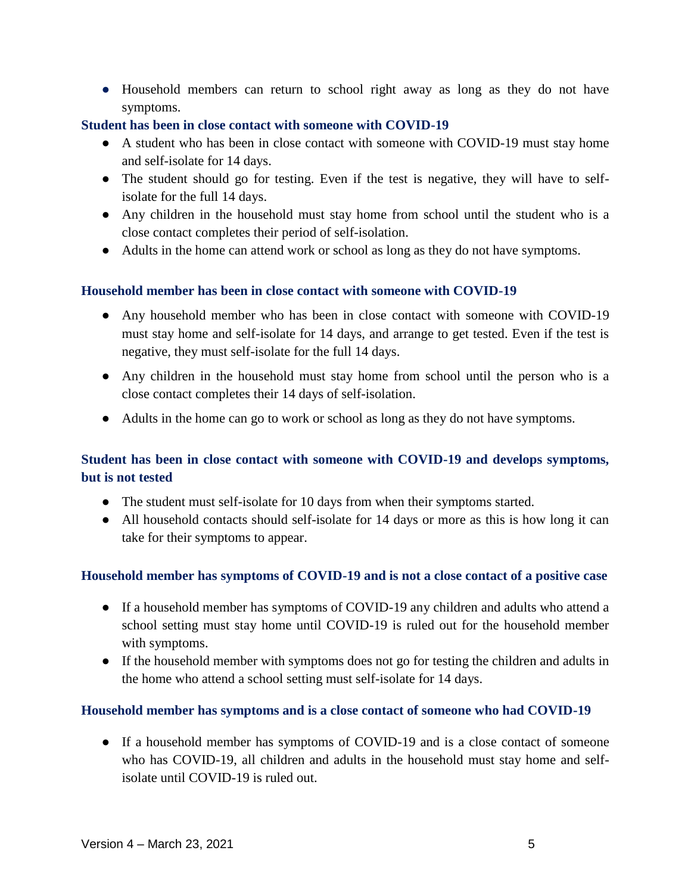● Household members can return to school right away as long as they do not have symptoms.

## **Student has been in close contact with someone with COVID-19**

- A student who has been in close contact with someone with COVID-19 must stay home and self-isolate for 14 days.
- The student should go for testing. Even if the test is negative, they will have to selfisolate for the full 14 days.
- Any children in the household must stay home from school until the student who is a close contact completes their period of self-isolation.
- Adults in the home can attend work or school as long as they do not have symptoms.

## **Household member has been in close contact with someone with COVID-19**

- Any household member who has been in close contact with someone with COVID-19 must stay home and self-isolate for 14 days, and arrange to get tested. Even if the test is negative, they must self-isolate for the full 14 days.
- Any children in the household must stay home from school until the person who is a close contact completes their 14 days of self-isolation.
- Adults in the home can go to work or school as long as they do not have symptoms.

# **Student has been in close contact with someone with COVID-19 and develops symptoms, but is not tested**

- The student must self-isolate for 10 days from when their symptoms started.
- All household contacts should self-isolate for 14 days or more as this is how long it can take for their symptoms to appear.

## **Household member has symptoms of COVID-19 and is not a close contact of a positive case**

- If a household member has symptoms of COVID-19 any children and adults who attend a school setting must stay home until COVID-19 is ruled out for the household member with symptoms.
- If the household member with symptoms does not go for testing the children and adults in the home who attend a school setting must self-isolate for 14 days.

# **Household member has symptoms and is a close contact of someone who had COVID-19**

● If a household member has symptoms of COVID-19 and is a close contact of someone who has COVID-19, all children and adults in the household must stay home and selfisolate until COVID-19 is ruled out.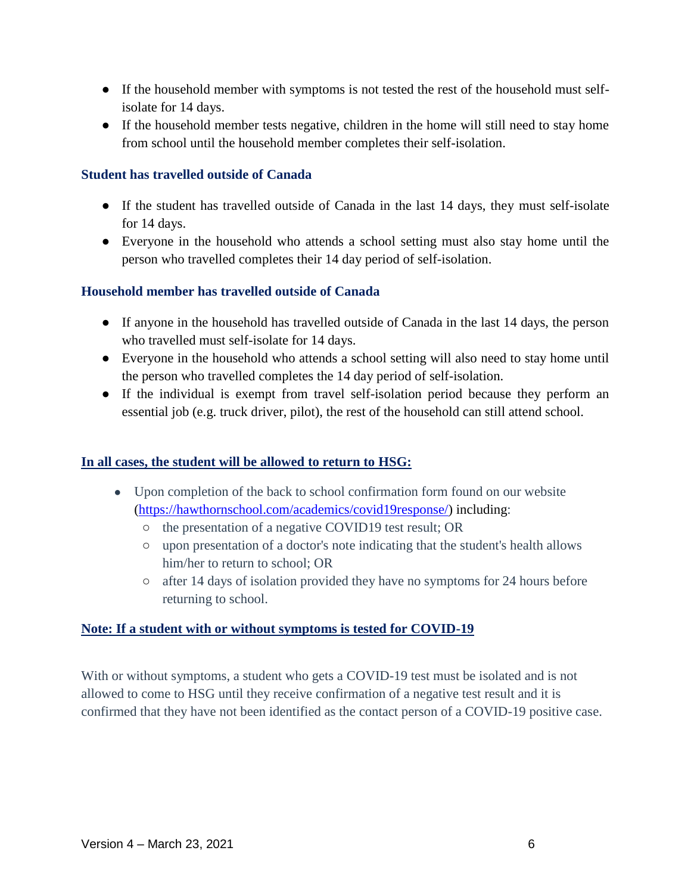- If the household member with symptoms is not tested the rest of the household must selfisolate for 14 days.
- If the household member tests negative, children in the home will still need to stay home from school until the household member completes their self-isolation.

## **Student has travelled outside of Canada**

- If the student has travelled outside of Canada in the last 14 days, they must self-isolate for 14 days.
- Everyone in the household who attends a school setting must also stay home until the person who travelled completes their 14 day period of self-isolation.

#### **Household member has travelled outside of Canada**

- If anyone in the household has travelled outside of Canada in the last 14 days, the person who travelled must self-isolate for 14 days.
- Everyone in the household who attends a school setting will also need to stay home until the person who travelled completes the 14 day period of self-isolation.
- If the individual is exempt from travel self-isolation period because they perform an essential job (e.g. truck driver, pilot), the rest of the household can still attend school.

#### **In all cases, the student will be allowed to return to HSG:**

- Upon completion of the back to school confirmation form found on our website [\(https://hawthornschool.com/academics/covid19response/\)](https://hawthornschool.com/academics/covid19response/) including:
	- the presentation of a negative COVID19 test result; OR
	- upon presentation of a doctor's note indicating that the student's health allows him/her to return to school; OR
	- after 14 days of isolation provided they have no symptoms for 24 hours before returning to school.

#### **Note: If a student with or without symptoms is tested for COVID-19**

With or without symptoms, a student who gets a COVID-19 test must be isolated and is not allowed to come to HSG until they receive confirmation of a negative test result and it is confirmed that they have not been identified as the contact person of a COVID-19 positive case.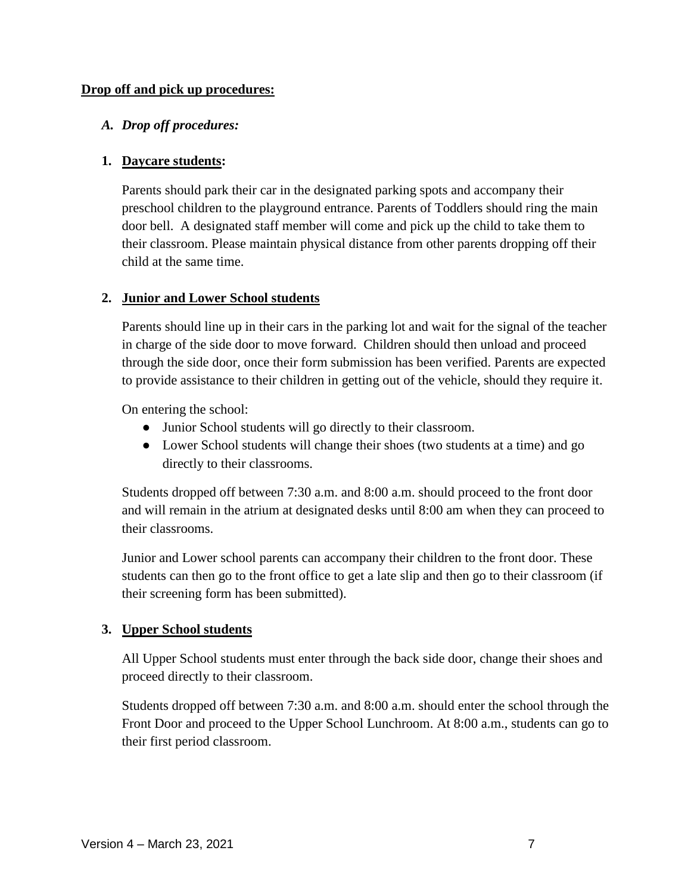#### **Drop off and pick up procedures:**

#### *A. Drop off procedures:*

#### **1. Daycare students:**

Parents should park their car in the designated parking spots and accompany their preschool children to the playground entrance. Parents of Toddlers should ring the main door bell. A designated staff member will come and pick up the child to take them to their classroom. Please maintain physical distance from other parents dropping off their child at the same time.

#### **2. Junior and Lower School students**

Parents should line up in their cars in the parking lot and wait for the signal of the teacher in charge of the side door to move forward. Children should then unload and proceed through the side door, once their form submission has been verified. Parents are expected to provide assistance to their children in getting out of the vehicle, should they require it.

On entering the school:

- Junior School students will go directly to their classroom.
- Lower School students will change their shoes (two students at a time) and go directly to their classrooms.

Students dropped off between 7:30 a.m. and 8:00 a.m. should proceed to the front door and will remain in the atrium at designated desks until 8:00 am when they can proceed to their classrooms.

Junior and Lower school parents can accompany their children to the front door. These students can then go to the front office to get a late slip and then go to their classroom (if their screening form has been submitted).

## **3. Upper School students**

All Upper School students must enter through the back side door, change their shoes and proceed directly to their classroom.

Students dropped off between 7:30 a.m. and 8:00 a.m. should enter the school through the Front Door and proceed to the Upper School Lunchroom. At 8:00 a.m., students can go to their first period classroom.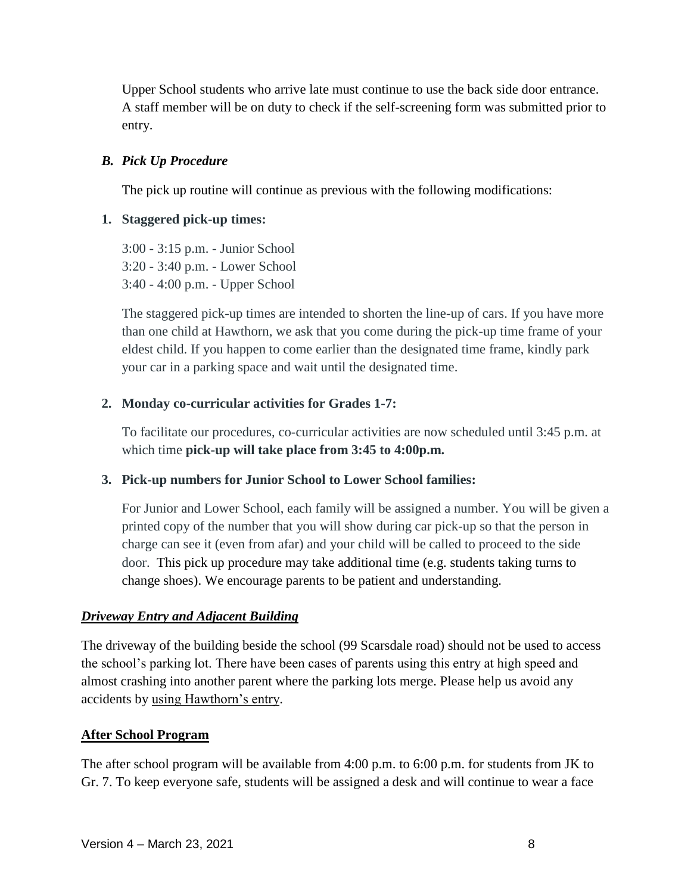Upper School students who arrive late must continue to use the back side door entrance. A staff member will be on duty to check if the self-screening form was submitted prior to entry.

## *B. Pick Up Procedure*

The pick up routine will continue as previous with the following modifications:

## **1. Staggered pick-up times:**

3:00 - 3:15 p.m. - Junior School 3:20 - 3:40 p.m. - Lower School 3:40 - 4:00 p.m. - Upper School

The staggered pick-up times are intended to shorten the line-up of cars. If you have more than one child at Hawthorn, we ask that you come during the pick-up time frame of your eldest child. If you happen to come earlier than the designated time frame, kindly park your car in a parking space and wait until the designated time.

## **2. Monday co-curricular activities for Grades 1-7:**

To facilitate our procedures, co-curricular activities are now scheduled until 3:45 p.m. at which time **pick-up will take place from 3:45 to 4:00p.m.**

## **3. Pick-up numbers for Junior School to Lower School families:**

For Junior and Lower School, each family will be assigned a number. You will be given a printed copy of the number that you will show during car pick-up so that the person in charge can see it (even from afar) and your child will be called to proceed to the side door. This pick up procedure may take additional time (e.g. students taking turns to change shoes). We encourage parents to be patient and understanding.

## *Driveway Entry and Adjacent Building*

The driveway of the building beside the school (99 Scarsdale road) should not be used to access the school's parking lot. There have been cases of parents using this entry at high speed and almost crashing into another parent where the parking lots merge. Please help us avoid any accidents by using Hawthorn's entry.

## **After School Program**

The after school program will be available from 4:00 p.m. to 6:00 p.m. for students from JK to Gr. 7. To keep everyone safe, students will be assigned a desk and will continue to wear a face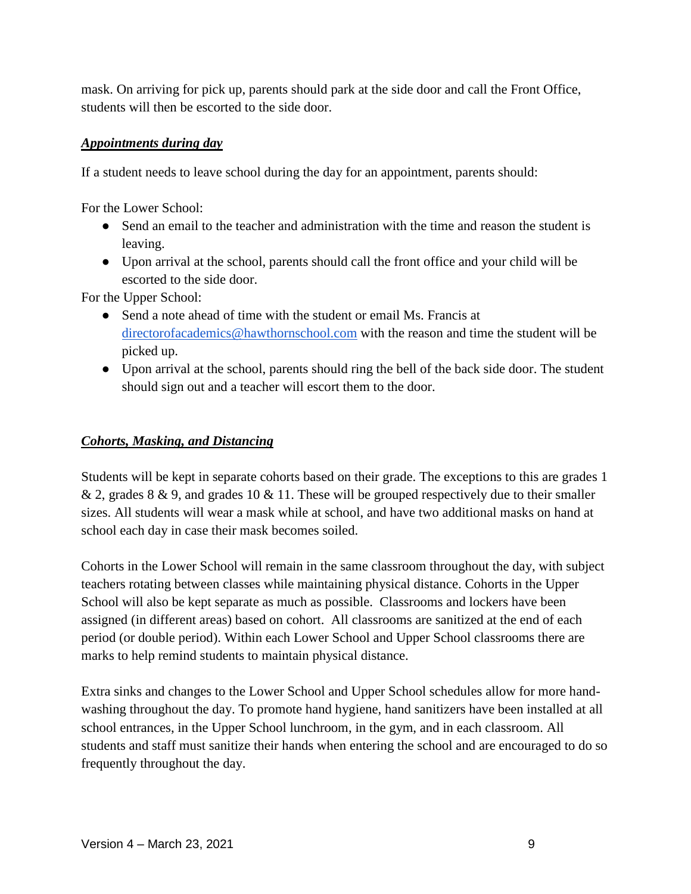mask. On arriving for pick up, parents should park at the side door and call the Front Office, students will then be escorted to the side door.

## *Appointments during day*

If a student needs to leave school during the day for an appointment, parents should:

For the Lower School:

- Send an email to the teacher and administration with the time and reason the student is leaving.
- Upon arrival at the school, parents should call the front office and your child will be escorted to the side door.

For the Upper School:

- Send a note ahead of time with the student or email Ms. Francis at [directorofacademics@hawthornschool.com](mailto:directorofacademics@hawthornschool.com) with the reason and time the student will be picked up.
- Upon arrival at the school, parents should ring the bell of the back side door. The student should sign out and a teacher will escort them to the door.

# *Cohorts, Masking, and Distancing*

Students will be kept in separate cohorts based on their grade. The exceptions to this are grades 1 & 2, grades 8 & 9, and grades 10 & 11. These will be grouped respectively due to their smaller sizes. All students will wear a mask while at school, and have two additional masks on hand at school each day in case their mask becomes soiled.

Cohorts in the Lower School will remain in the same classroom throughout the day, with subject teachers rotating between classes while maintaining physical distance. Cohorts in the Upper School will also be kept separate as much as possible. Classrooms and lockers have been assigned (in different areas) based on cohort. All classrooms are sanitized at the end of each period (or double period). Within each Lower School and Upper School classrooms there are marks to help remind students to maintain physical distance.

Extra sinks and changes to the Lower School and Upper School schedules allow for more handwashing throughout the day. To promote hand hygiene, hand sanitizers have been installed at all school entrances, in the Upper School lunchroom, in the gym, and in each classroom. All students and staff must sanitize their hands when entering the school and are encouraged to do so frequently throughout the day.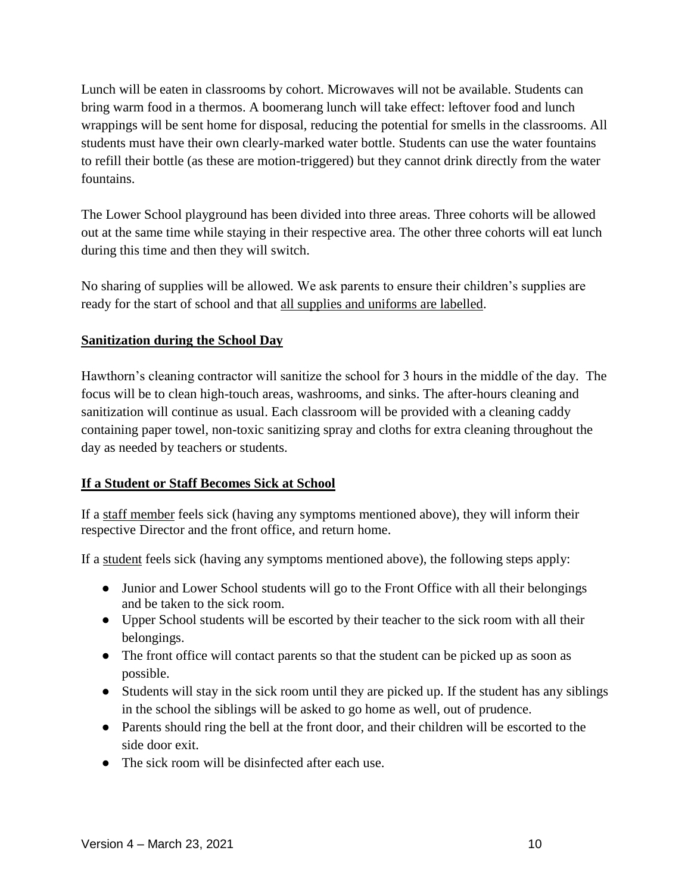Lunch will be eaten in classrooms by cohort. Microwaves will not be available. Students can bring warm food in a thermos. A boomerang lunch will take effect: leftover food and lunch wrappings will be sent home for disposal, reducing the potential for smells in the classrooms. All students must have their own clearly-marked water bottle. Students can use the water fountains to refill their bottle (as these are motion-triggered) but they cannot drink directly from the water fountains.

The Lower School playground has been divided into three areas. Three cohorts will be allowed out at the same time while staying in their respective area. The other three cohorts will eat lunch during this time and then they will switch.

No sharing of supplies will be allowed. We ask parents to ensure their children's supplies are ready for the start of school and that all supplies and uniforms are labelled.

## **Sanitization during the School Day**

Hawthorn's cleaning contractor will sanitize the school for 3 hours in the middle of the day. The focus will be to clean high-touch areas, washrooms, and sinks. The after-hours cleaning and sanitization will continue as usual. Each classroom will be provided with a cleaning caddy containing paper towel, non-toxic sanitizing spray and cloths for extra cleaning throughout the day as needed by teachers or students.

# **If a Student or Staff Becomes Sick at School**

If a staff member feels sick (having any symptoms mentioned above), they will inform their respective Director and the front office, and return home.

If a student feels sick (having any symptoms mentioned above), the following steps apply:

- Junior and Lower School students will go to the Front Office with all their belongings and be taken to the sick room.
- Upper School students will be escorted by their teacher to the sick room with all their belongings.
- The front office will contact parents so that the student can be picked up as soon as possible.
- Students will stay in the sick room until they are picked up. If the student has any siblings in the school the siblings will be asked to go home as well, out of prudence.
- Parents should ring the bell at the front door, and their children will be escorted to the side door exit.
- The sick room will be disinfected after each use.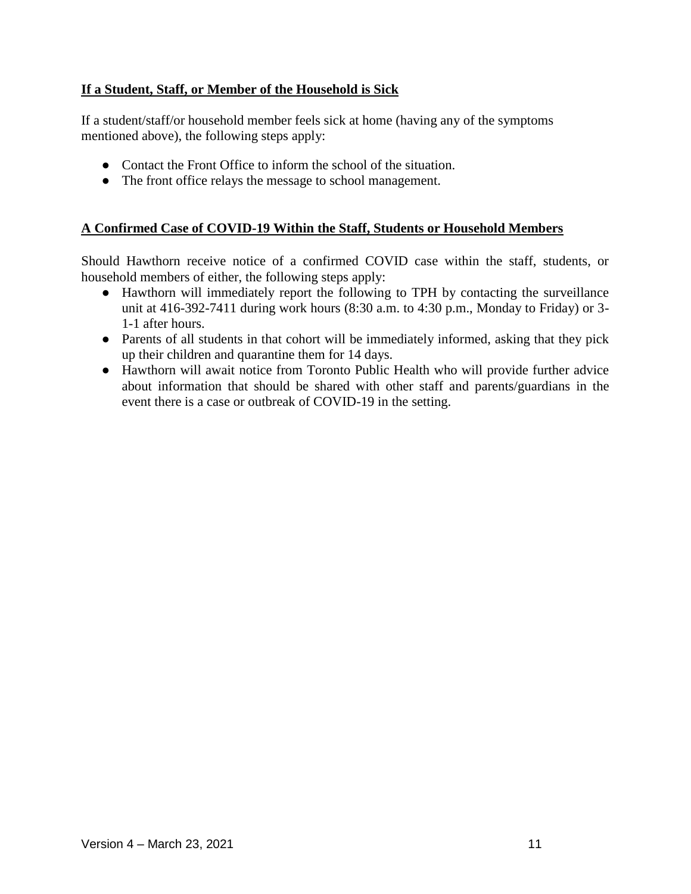## **If a Student, Staff, or Member of the Household is Sick**

If a student/staff/or household member feels sick at home (having any of the symptoms mentioned above), the following steps apply:

- Contact the Front Office to inform the school of the situation.
- The front office relays the message to school management.

## **A Confirmed Case of COVID-19 Within the Staff, Students or Household Members**

Should Hawthorn receive notice of a confirmed COVID case within the staff, students, or household members of either, the following steps apply:

- Hawthorn will immediately report the following to TPH by contacting the surveillance unit at 416-392-7411 during work hours (8:30 a.m. to 4:30 p.m., Monday to Friday) or 3- 1-1 after hours.
- Parents of all students in that cohort will be immediately informed, asking that they pick up their children and quarantine them for 14 days.
- Hawthorn will await notice from Toronto Public Health who will provide further advice about information that should be shared with other staff and parents/guardians in the event there is a case or outbreak of COVID-19 in the setting.